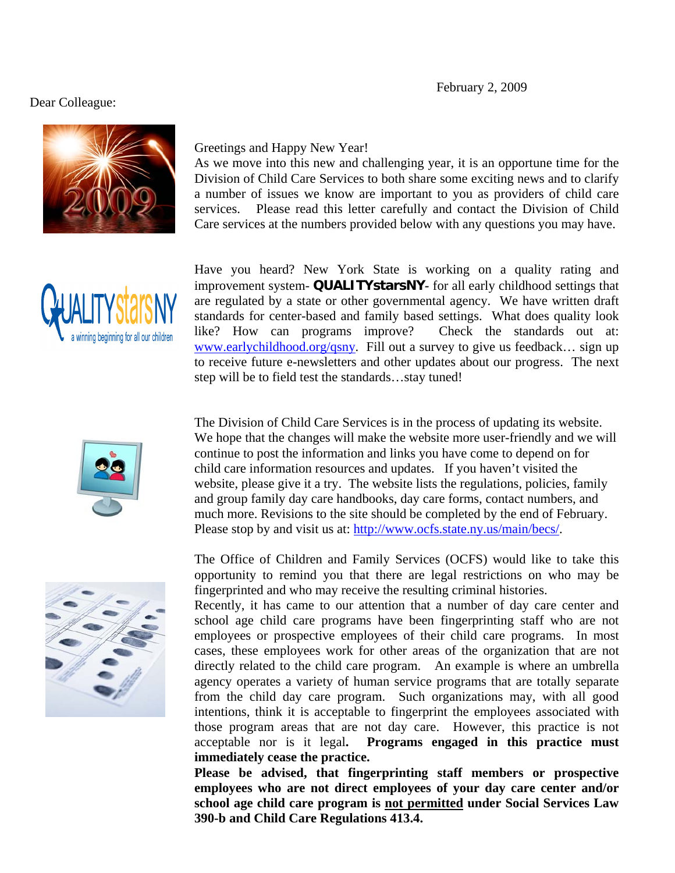## February 2, 2009

## Dear Colleague:



## Greetings and Happy New Year!

As we move into this new and challenging year, it is an opportune time for the Division of Child Care Services to both share some exciting news and to clarify a number of issues we know are important to you as providers of child care services. Please read this letter carefully and contact the Division of Child Care services at the numbers provided below with any questions you may have.



Have you heard? New York State is working on a quality rating and improvement system- **QUALITYstarsNY***-* for all early childhood settings that are regulated by a state or other governmental agency. We have written draft standards for center-based and family based settings. What does quality look like? How can programs improve? Check the standards out at: www.earlychildhood.org/qsny. Fill out a survey to give us feedback... sign up to receive future e-newsletters and other updates about our progress. The next step will be to field test the standards…stay tuned!



The Division of Child Care Services is in the process of updating its website. We hope that the changes will make the website more user-friendly and we will continue to post the information and links you have come to depend on for child care information resources and updates. If you haven't visited the website, please give it a try. The website lists the regulations, policies, family and group family day care handbooks, day care forms, contact numbers, and much more. Revisions to the site should be completed by the end of February. Please stop by and visit us at: http://www.ocfs.state.ny.us/main/becs/.



Recently, it has came to our attention that a number of day care center and school age child care programs have been fingerprinting staff who are not employees or prospective employees of their child care programs. In most cases, these employees work for other areas of the organization that are not directly related to the child care program. An example is where an umbrella agency operates a variety of human service programs that are totally separate from the child day care program. Such organizations may, with all good intentions, think it is acceptable to fingerprint the employees associated with those program areas that are not day care. However, this practice is not acceptable nor is it legal**. Programs engaged in this practice must immediately cease the practice.** 

**Please be advised, that fingerprinting staff members or prospective employees who are not direct employees of your day care center and/or school age child care program is not permitted under Social Services Law 390-b and Child Care Regulations 413.4.** 

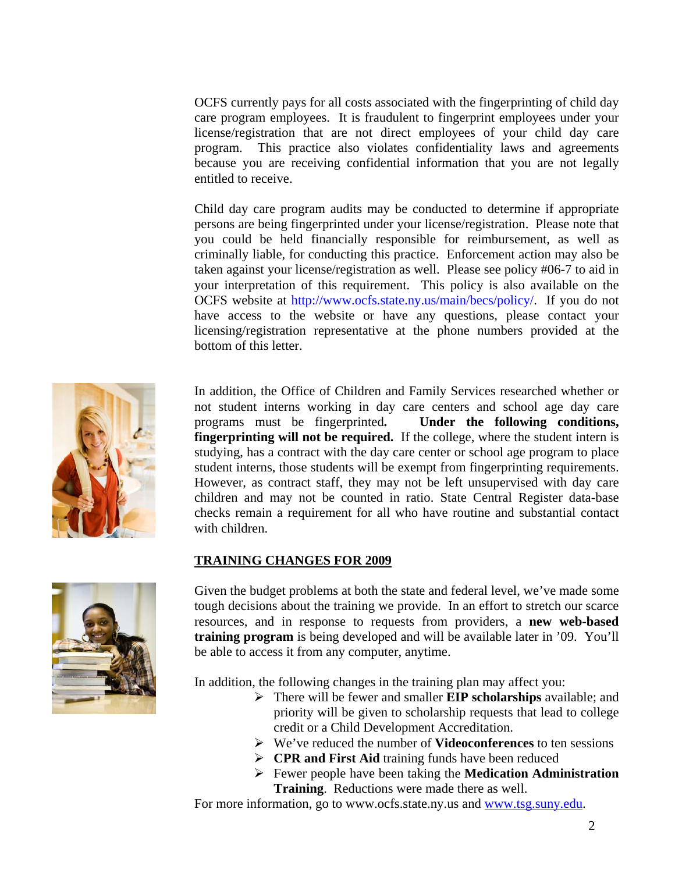OCFS currently pays for all costs associated with the fingerprinting of child day care program employees. It is fraudulent to fingerprint employees under your license/registration that are not direct employees of your child day care program. This practice also violates confidentiality laws and agreements because you are receiving confidential information that you are not legally entitled to receive.

Child day care program audits may be conducted to determine if appropriate persons are being fingerprinted under your license/registration. Please note that you could be held financially responsible for reimbursement, as well as criminally liable, for conducting this practice. Enforcement action may also be taken against your license/registration as well. Please see policy #06-7 to aid in your interpretation of this requirement. This policy is also available on the OCFS website at http://www.ocfs.state.ny.us/main/becs/policy/. If you do not have access to the website or have any questions, please contact your licensing/registration representative at the phone numbers provided at the bottom of this letter.



In addition, the Office of Children and Family Services researched whether or not student interns working in day care centers and school age day care programs must be fingerprinted**. Under the following conditions, fingerprinting will not be required.** If the college, where the student intern is studying, has a contract with the day care center or school age program to place student interns, those students will be exempt from fingerprinting requirements. However, as contract staff, they may not be left unsupervised with day care children and may not be counted in ratio. State Central Register data-base checks remain a requirement for all who have routine and substantial contact with children.

## **TRAINING CHANGES FOR 2009**



Given the budget problems at both the state and federal level, we've made some tough decisions about the training we provide. In an effort to stretch our scarce resources, and in response to requests from providers, a **new web-based training program** is being developed and will be available later in '09. You'll be able to access it from any computer, anytime.

In addition, the following changes in the training plan may affect you:

- There will be fewer and smaller **EIP scholarships** available; and priority will be given to scholarship requests that lead to college credit or a Child Development Accreditation.
- We've reduced the number of **Videoconferences** to ten sessions
- **CPR and First Aid training funds have been reduced**
- Fewer people have been taking the **Medication Administration Training**. Reductions were made there as well.

For more information, go to www.ocfs.state.ny.us and www.tsg.suny.edu.